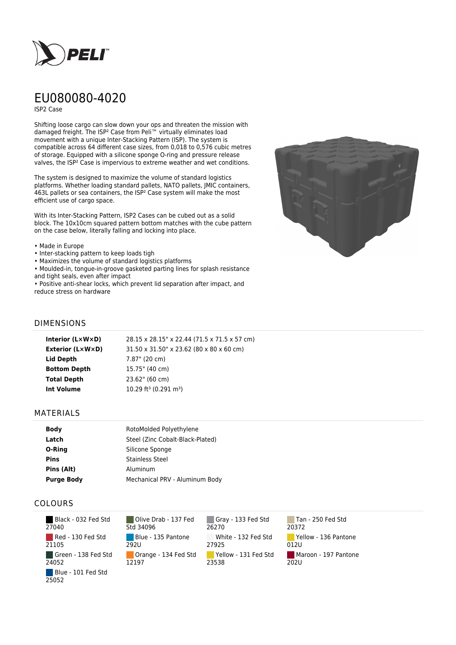

# EU080080-4020

ISP2 Case

Shifting loose cargo can slow down your ops and threaten the mission with damaged freight. The ISP² Case from Peli™ virtually eliminates load movement with a unique Inter-Stacking Pattern (ISP). The system is compatible across 64 different case sizes, from 0,018 to 0,576 cubic metres of storage. Equipped with a silicone sponge O-ring and pressure release valves, the ISP² Case is impervious to extreme weather and wet conditions.

The system is designed to maximize the volume of standard logistics platforms. Whether loading standard pallets, NATO pallets, JMIC containers, 463L pallets or sea containers, the ISP² Case system will make the most efficient use of cargo space.

With its Inter-Stacking Pattern, ISP2 Cases can be cubed out as a solid block. The 10x10cm squared pattern bottom matches with the cube pattern on the case below, literally falling and locking into place.

#### • Made in Europe

- Inter-stacking pattern to keep loads tigh
- Maximizes the volume of standard logistics platforms

• Moulded-in, tongue-in-groove gasketed parting lines for splash resistance and tight seals, even after impact

• Positive anti-shear locks, which prevent lid separation after impact, and reduce stress on hardware



## DIMENSIONS

| Interior (LxWxD)        | 28.15 x 28.15" x 22.44 (71.5 x 71.5 x 57 cm)  |
|-------------------------|-----------------------------------------------|
| <b>Exterior (L×W×D)</b> | 31.50 x 31.50" x 23.62 (80 x 80 x 60 cm)      |
| Lid Depth               | 7.87" (20 cm)                                 |
| <b>Bottom Depth</b>     | 15.75" (40 cm)                                |
| <b>Total Depth</b>      | 23.62" (60 cm)                                |
| <b>Int Volume</b>       | 10.29 ft <sup>3</sup> (0.291 m <sup>3</sup> ) |
|                         |                                               |

### MATERIALS

| <b>Body</b>       | RotoMolded Polyethylene          |
|-------------------|----------------------------------|
| Latch             | Steel (Zinc Cobalt-Black-Plated) |
| O-Ring            | Silicone Sponge                  |
| <b>Pins</b>       | <b>Stainless Steel</b>           |
| Pins (Alt)        | Aluminum                         |
| <b>Purge Body</b> | Mechanical PRV - Aluminum Body   |

## COLOURS

 Black - 032 Fed Std 27040 Red - 130 Fed Std 21105 Green - 138 Fed Std 24052 Blue - 101 Fed Std 25052

Olive Drab - 137 Fed Std 34096 Blue - 135 Pantone 292U Orange - 134 Fed Std 12197

Gray - 133 Fed Std 26270 White - 132 Fed Std 27925 Yellow - 131 Fed Std 23538

Tan - 250 Fed Std 20372 Yellow - 136 Pantone 012U Maroon - 197 Pantone  $202U$